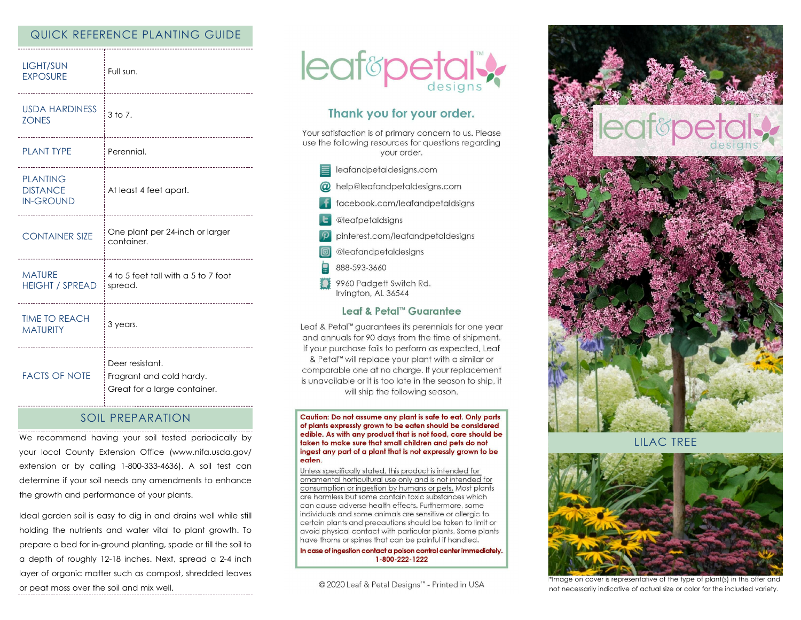# QUICK REFERENCE PLANTING GUIDE

| LIGHT/SUN<br><b>EXPOSURE</b>                           | Full sun.<br>                                                               |
|--------------------------------------------------------|-----------------------------------------------------------------------------|
| <b>USDA HARDINESS</b><br><b>ZONES</b>                  | $3$ to $7$ .<br>                                                            |
| <b>PLANT TYPE</b>                                      | Perennial.                                                                  |
| <b>PLANTING</b><br><b>DISTANCE</b><br><b>IN-GROUND</b> | At least 4 feet apart.<br>--------------------------------------            |
| <b>CONTAINER SIZE</b>                                  | One plant per 24-inch or larger<br>container.                               |
| <b>MATURE</b><br><b>HEIGHT / SPREAD</b>                | 4 to 5 feet tall with a 5 to 7 foot<br>spread.                              |
| <b>TIME TO REACH</b><br><b>MATURITY</b>                | 3 years.                                                                    |
| <b>FACTS OF NOTE</b>                                   | Deer resistant.<br>Fragrant and cold hardy.<br>Great for a large container. |

### SOIL PREPARATION

We recommend having your soil tested periodically by your local County Extension Office (www.nifa.usda.gov/ extension or by calling 1-800-333-4636). A soil test can determine if your soil needs any amendments to enhance the growth and performance of your plants.

Ideal garden soil is easy to dig in and drains well while still holding the nutrients and water vital to plant growth. To prepare a bed for in-ground planting, spade or till the soil to a depth of roughly 12-18 inches. Next, spread a 2-4 inch layer of organic matter such as compost, shredded leaves or peat moss over the soil and mix well.



# Thank you for your order.

Your satisfaction is of primary concern to us. Please use the following resources for questions regarding your order.

- $\equiv$  leafandpetaldesigns.com
- @ help@leafandpetaldesigns.com
- facebook.com/leafandpetaldsigns
- **L** @leafpetaldsigns
- pinterest.com/leafandpetaldesigns
- @leafandpetaldesigns
- 888-593-3660
- \$ \$ 9960 Padgett Switch Rd. Irvington, AL 36544

### Leaf & Petal™ Guarantee

Leaf & Petal™ guarantees its perennials for one year and annuals for 90 days from the time of shipment. If your purchase fails to perform as expected, Leaf & Petal<sup>™</sup> will replace your plant with a similar or comparable one at no charge. If your replacement is unavailable or it is too late in the season to ship, it will ship the following season.

Caution: Do not assume any plant is safe to eat. Only parts of plants expressly grown to be eaten should be considered edible. As with any product that is not food, care should be taken to make sure that small children and pets do not ingest any part of a plant that is not expressly grown to be eaten.

Unless specifically stated, this product is intended for ornamental horticultural use only and is not intended for consumption or ingestion by humans or pets. Most plants are harmless but some contain toxic substances which can cause adverse health effects. Furthermore, some individuals and some animals are sensitive or allergic to certain plants and precautions should be taken to limit or avoid physical contact with particular plants. Some plants have thorns or spines that can be painful if handled.

In case of ingestion contact a poison control center immediately. 1-800-222-1222

© 2020 Leaf & Petal Designs™ - Printed in USA



LILAC TREE



\*Image on cover is representative of the type of plant(s) in this offer and not necessarily indicative of actual size or color for the included variety.